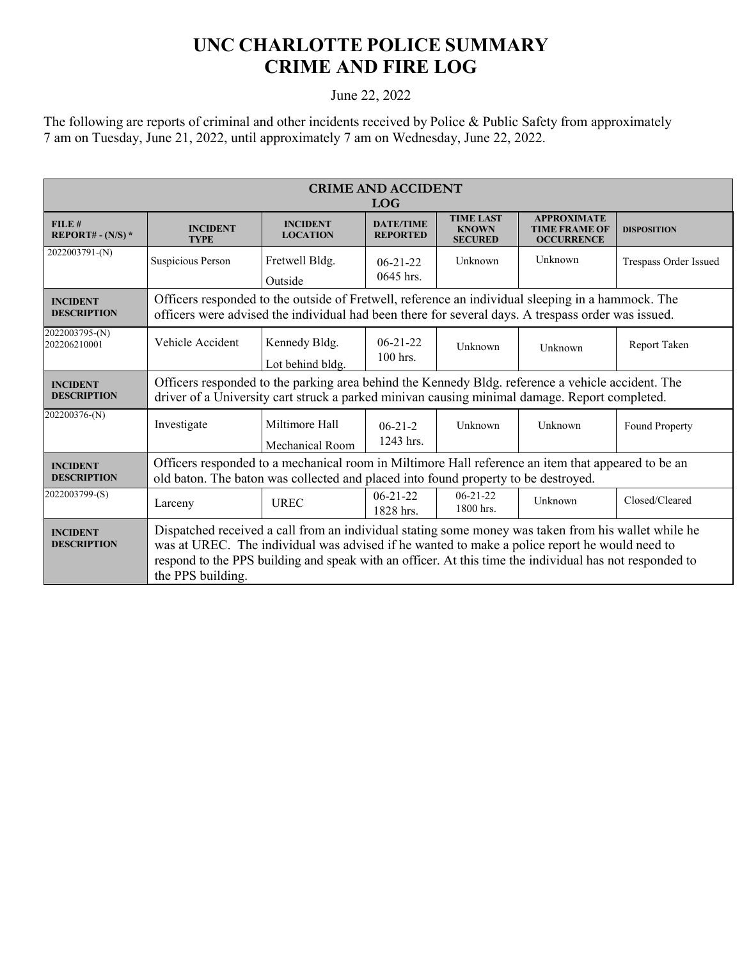## **UNC CHARLOTTE POLICE SUMMARY CRIME AND FIRE LOG**

## June 22, 2022

The following are reports of criminal and other incidents received by Police & Public Safety from approximately 7 am on Tuesday, June 21, 2022, until approximately 7 am on Wednesday, June 22, 2022.

| <b>CRIME AND ACCIDENT</b><br><b>LOG</b> |                                                                                                                                                                                                                                                                                                                                      |                                    |                                     |                                                    |                                                                 |                       |  |
|-----------------------------------------|--------------------------------------------------------------------------------------------------------------------------------------------------------------------------------------------------------------------------------------------------------------------------------------------------------------------------------------|------------------------------------|-------------------------------------|----------------------------------------------------|-----------------------------------------------------------------|-----------------------|--|
| FILE#<br>REPORT# - $(N/S)$ *            | <b>INCIDENT</b><br><b>TYPE</b>                                                                                                                                                                                                                                                                                                       | <b>INCIDENT</b><br><b>LOCATION</b> | <b>DATE/TIME</b><br><b>REPORTED</b> | <b>TIME LAST</b><br><b>KNOWN</b><br><b>SECURED</b> | <b>APPROXIMATE</b><br><b>TIME FRAME OF</b><br><b>OCCURRENCE</b> | <b>DISPOSITION</b>    |  |
| 2022003791-(N)                          | Suspicious Person                                                                                                                                                                                                                                                                                                                    | Fretwell Bldg.<br>Outside          | $06 - 21 - 22$<br>0645 hrs.         | Unknown                                            | Unknown                                                         | Trespass Order Issued |  |
| <b>INCIDENT</b><br><b>DESCRIPTION</b>   | Officers responded to the outside of Fretwell, reference an individual sleeping in a hammock. The<br>officers were advised the individual had been there for several days. A trespass order was issued.                                                                                                                              |                                    |                                     |                                                    |                                                                 |                       |  |
| 2022003795-(N)<br>202206210001          | Vehicle Accident                                                                                                                                                                                                                                                                                                                     | Kennedy Bldg.<br>Lot behind bldg.  | $06 - 21 - 22$<br>$100$ hrs.        | Unknown                                            | Unknown                                                         | Report Taken          |  |
| <b>INCIDENT</b><br><b>DESCRIPTION</b>   | Officers responded to the parking area behind the Kennedy Bldg. reference a vehicle accident. The<br>driver of a University cart struck a parked minivan causing minimal damage. Report completed.                                                                                                                                   |                                    |                                     |                                                    |                                                                 |                       |  |
| 202200376-(N)                           | Investigate                                                                                                                                                                                                                                                                                                                          | Miltimore Hall<br>Mechanical Room  | $06 - 21 - 2$<br>1243 hrs.          | Unknown                                            | Unknown                                                         | Found Property        |  |
| <b>INCIDENT</b><br><b>DESCRIPTION</b>   | Officers responded to a mechanical room in Miltimore Hall reference an item that appeared to be an<br>old baton. The baton was collected and placed into found property to be destroyed.                                                                                                                                             |                                    |                                     |                                                    |                                                                 |                       |  |
| 2022003799-(S)                          | Larceny                                                                                                                                                                                                                                                                                                                              | <b>UREC</b>                        | $06 - 21 - 22$<br>1828 hrs.         | $06 - 21 - 22$<br>1800 hrs.                        | Unknown                                                         | Closed/Cleared        |  |
| <b>INCIDENT</b><br><b>DESCRIPTION</b>   | Dispatched received a call from an individual stating some money was taken from his wallet while he<br>was at UREC. The individual was advised if he wanted to make a police report he would need to<br>respond to the PPS building and speak with an officer. At this time the individual has not responded to<br>the PPS building. |                                    |                                     |                                                    |                                                                 |                       |  |